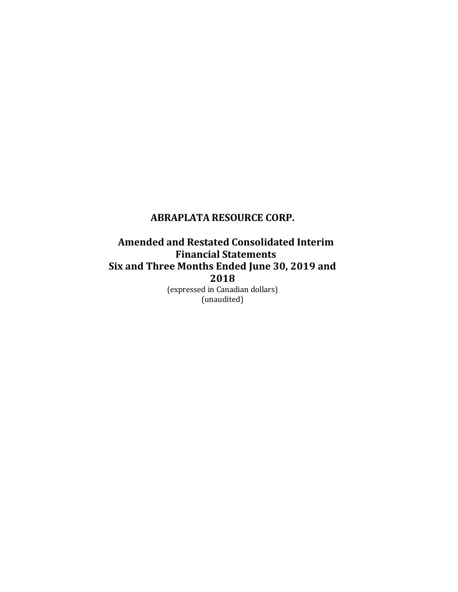# **Amended and Restated Consolidated Interim Financial Statements Six and Three Months Ended June 30, 2019 and 2018**

(expressed in Canadian dollars) (unaudited)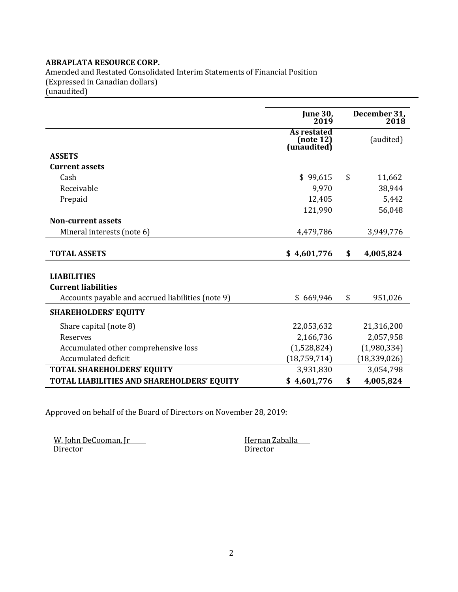Amended and Restated Consolidated Interim Statements of Financial Position (Expressed in Canadian dollars)

(unaudited)

|                                                                                                       | <b>June 30,</b><br>2019                 | December 31,<br>2018 |
|-------------------------------------------------------------------------------------------------------|-----------------------------------------|----------------------|
|                                                                                                       | As restated<br>(note 12)<br>(unaudited) | (audited)            |
| <b>ASSETS</b>                                                                                         |                                         |                      |
| <b>Current assets</b>                                                                                 |                                         |                      |
| Cash                                                                                                  | \$99,615                                | \$<br>11,662         |
| Receivable                                                                                            | 9,970                                   | 38,944               |
| Prepaid                                                                                               | 12,405                                  | 5,442                |
|                                                                                                       | 121,990                                 | 56,048               |
| <b>Non-current assets</b>                                                                             |                                         |                      |
| Mineral interests (note 6)                                                                            | 4,479,786                               | 3,949,776            |
| <b>TOTAL ASSETS</b>                                                                                   | \$4,601,776                             | \$<br>4,005,824      |
| <b>LIABILITIES</b><br><b>Current liabilities</b><br>Accounts payable and accrued liabilities (note 9) | \$669,946                               | \$<br>951,026        |
| <b>SHAREHOLDERS' EQUITY</b>                                                                           |                                         |                      |
| Share capital (note 8)                                                                                | 22,053,632                              | 21,316,200           |
| Reserves                                                                                              | 2,166,736                               | 2,057,958            |
| Accumulated other comprehensive loss                                                                  | (1,528,824)                             | (1,980,334)          |
| Accumulated deficit                                                                                   | (18, 759, 714)                          | (18, 339, 026)       |
| <b>TOTAL SHAREHOLDERS' EQUITY</b>                                                                     | 3,931,830                               | 3,054,798            |
| TOTAL LIABILITIES AND SHAREHOLDERS' EQUITY                                                            | \$4,601,776                             | \$<br>4,005,824      |

Approved on behalf of the Board of Directors on November 28, 2019:

W. John DeCooman, Jr<br/> $\begin{array}{ll}\n\text{W. John DeCooman, Ir} \\
\text{Director}\n\end{array}$ Director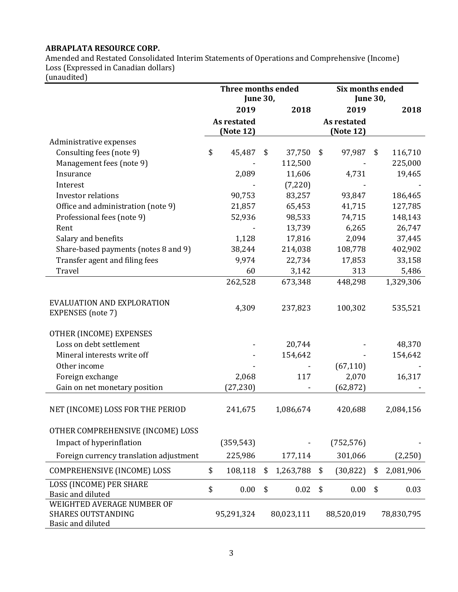Amended and Restated Consolidated Interim Statements of Operations and Comprehensive (Income) Loss (Expressed in Canadian dollars)

(unaudited)

|                                                                              | <b>Three months ended</b><br><b>June 30,</b> |             |    | <b>Six months ended</b><br><b>June 30,</b> |    |             |    |            |
|------------------------------------------------------------------------------|----------------------------------------------|-------------|----|--------------------------------------------|----|-------------|----|------------|
|                                                                              |                                              | 2019        |    | 2018                                       |    | 2019        |    | 2018       |
|                                                                              |                                              | As restated |    |                                            |    | As restated |    |            |
|                                                                              |                                              | (Note 12)   |    |                                            |    | (Note 12)   |    |            |
| Administrative expenses                                                      |                                              |             |    |                                            |    |             |    |            |
| Consulting fees (note 9)                                                     | \$                                           | 45,487      | \$ | 37,750                                     | \$ | 97,987      | \$ | 116,710    |
| Management fees (note 9)                                                     |                                              |             |    | 112,500                                    |    |             |    | 225,000    |
| Insurance                                                                    |                                              | 2,089       |    | 11,606                                     |    | 4,731       |    | 19,465     |
| Interest                                                                     |                                              |             |    | (7,220)                                    |    |             |    |            |
| <b>Investor relations</b>                                                    |                                              | 90,753      |    | 83,257                                     |    | 93,847      |    | 186,465    |
| Office and administration (note 9)                                           |                                              | 21,857      |    | 65,453                                     |    | 41,715      |    | 127,785    |
| Professional fees (note 9)                                                   |                                              | 52,936      |    | 98,533                                     |    | 74,715      |    | 148,143    |
| Rent                                                                         |                                              |             |    | 13,739                                     |    | 6,265       |    | 26,747     |
| Salary and benefits                                                          |                                              | 1,128       |    | 17,816                                     |    | 2,094       |    | 37,445     |
| Share-based payments (notes 8 and 9)                                         |                                              | 38,244      |    | 214,038                                    |    | 108,778     |    | 402,902    |
| Transfer agent and filing fees                                               |                                              | 9,974       |    | 22,734                                     |    | 17,853      |    | 33,158     |
| Travel                                                                       |                                              | 60          |    | 3,142                                      |    | 313         |    | 5,486      |
|                                                                              |                                              | 262,528     |    | 673,348                                    |    | 448,298     |    | 1,329,306  |
| EVALUATION AND EXPLORATION<br>EXPENSES (note 7)                              |                                              | 4,309       |    | 237,823                                    |    | 100,302     |    | 535,521    |
| OTHER (INCOME) EXPENSES                                                      |                                              |             |    |                                            |    |             |    |            |
| Loss on debt settlement                                                      |                                              |             |    | 20,744                                     |    |             |    | 48,370     |
| Mineral interests write off                                                  |                                              |             |    | 154,642                                    |    |             |    | 154,642    |
| Other income                                                                 |                                              |             |    |                                            |    | (67, 110)   |    |            |
| Foreign exchange                                                             |                                              | 2,068       |    | 117                                        |    | 2,070       |    | 16,317     |
| Gain on net monetary position                                                |                                              | (27, 230)   |    |                                            |    | (62, 872)   |    |            |
| NET (INCOME) LOSS FOR THE PERIOD                                             |                                              | 241,675     |    | 1,086,674                                  |    | 420,688     |    | 2,084,156  |
| OTHER COMPREHENSIVE (INCOME) LOSS                                            |                                              |             |    |                                            |    |             |    |            |
| Impact of hyperinflation                                                     |                                              | (359, 543)  |    |                                            |    | (752, 576)  |    |            |
| Foreign currency translation adjustment                                      |                                              | 225,986     |    | 177,114                                    |    | 301,066     |    | (2,250)    |
| COMPREHENSIVE (INCOME) LOSS                                                  | \$                                           | 108,118     | \$ | 1,263,788                                  | \$ | (30, 822)   | \$ | 2,081,906  |
|                                                                              |                                              |             |    |                                            |    |             |    |            |
| LOSS (INCOME) PER SHARE<br>Basic and diluted                                 | \$                                           | 0.00        | \$ | 0.02                                       | \$ | 0.00        | \$ | 0.03       |
| WEIGHTED AVERAGE NUMBER OF<br><b>SHARES OUTSTANDING</b><br>Basic and diluted |                                              | 95,291,324  |    | 80,023,111                                 |    | 88,520,019  |    | 78,830,795 |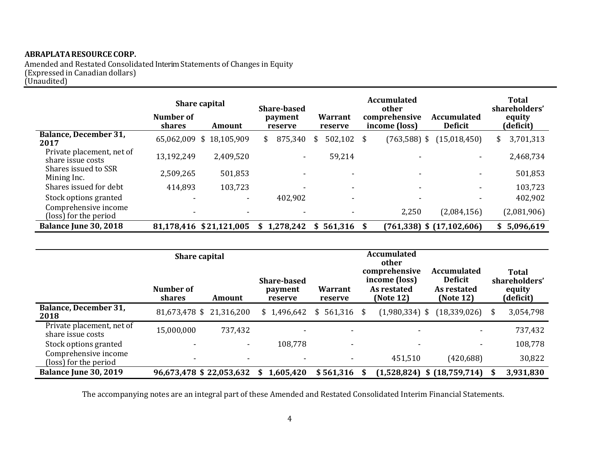Amended and Restated Consolidated Interim Statements of Changes in Equity (Expressed in Canadian dollars) (Unaudited)

|                                                | Number of<br><b>shares</b> | Share capital<br>Amount | <b>Share-based</b><br>payment<br>reserve | <b>Warrant</b><br>reserve | <b>Accumulated</b><br>other<br>comprehensive<br>income (loss) | <b>Accumulated</b><br><b>Deficit</b> | Total<br>shareholders'<br>equity<br>(deficit) |
|------------------------------------------------|----------------------------|-------------------------|------------------------------------------|---------------------------|---------------------------------------------------------------|--------------------------------------|-----------------------------------------------|
| <b>Balance, December 31,</b><br>2017           |                            | 65,062,009 \$18,105,909 | 875,340<br>\$                            | 502,102 \$<br>\$          | $(763, 588)$ \$                                               | (15, 018, 450)                       | 3,701,313<br>\$                               |
| Private placement, net of<br>share issue costs | 13,192,249                 | 2,409,520               | ۰.                                       | 59,214                    |                                                               |                                      | 2,468,734                                     |
| Shares issued to SSR<br>Mining Inc.            | 2,509,265                  | 501,853                 |                                          | $\overline{\phantom{0}}$  |                                                               | $\overline{\phantom{a}}$             | 501,853                                       |
| Shares issued for debt                         | 414,893                    | 103,723                 |                                          | ٠                         |                                                               | $\overline{\phantom{a}}$             | 103,723                                       |
| Stock options granted                          | -                          | -                       | 402,902                                  | $\overline{\phantom{0}}$  |                                                               | $\overline{\phantom{a}}$             | 402,902                                       |
| Comprehensive income<br>(loss) for the period  |                            |                         |                                          |                           | 2,250                                                         | (2,084,156)                          | (2,081,906)                                   |
| Balance June 30, 2018                          |                            | 81,178,416 \$21,121,005 | \$1,278,242                              | $$561,316$ \$             |                                                               | $(761,338)$ \$ $(17,102,606)$        | 5,096,619<br>\$                               |

|                                                | <b>Share capital</b><br>Number of<br>shares | Amount                   | <b>Share-based</b><br>payment<br>reserve | Warrant<br>reserve |   | <b>Accumulated</b><br>other<br>comprehensive<br>income (loss)<br>As restated<br>(Note 12) | <b>Accumulated</b><br><b>Deficit</b><br>As restated<br>(Note 12) | <b>Total</b><br>shareholders'<br>equity<br>(deficit) |
|------------------------------------------------|---------------------------------------------|--------------------------|------------------------------------------|--------------------|---|-------------------------------------------------------------------------------------------|------------------------------------------------------------------|------------------------------------------------------|
| <b>Balance, December 31,</b><br>2018           |                                             | 81,673,478 \$21,316,200  | \$1,496,642                              | $$561,316$ \$      |   | $(1,980,334)$ \$                                                                          | $(18,339,026)$ \$                                                | 3,054,798                                            |
| Private placement, net of<br>share issue costs | 15,000,000                                  | 737,432                  |                                          |                    |   |                                                                                           |                                                                  | 737,432                                              |
| Stock options granted                          |                                             | $\overline{\phantom{a}}$ | 108,778                                  | ٠                  |   |                                                                                           |                                                                  | 108,778                                              |
| Comprehensive income<br>(loss) for the period  | $\overline{\phantom{0}}$                    |                          | $\overline{\phantom{a}}$                 | ٠                  |   | 451,510                                                                                   | (420, 688)                                                       | 30,822                                               |
| Balance June 30, 2019                          |                                             | 96,673,478 \$ 22,053,632 | 1,605,420<br>S.                          | \$561,316          | S |                                                                                           | $(1,528,824)$ \$ $(18,759,714)$ \$                               | 3,931,830                                            |

The accompanying notes are an integral part of these Amended and Restated Consolidated Interim Financial Statements.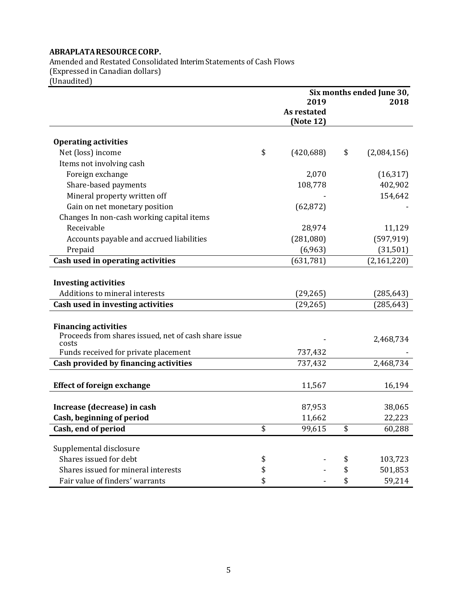Amended and Restated Consolidated Interim Statements of Cash Flows (Expressed in Canadian dollars) (Unaudited)

|                                                      | Six months ended June 30, |             |    |             |
|------------------------------------------------------|---------------------------|-------------|----|-------------|
|                                                      |                           | 2019        |    | 2018        |
|                                                      |                           | As restated |    |             |
|                                                      |                           | (Note 12)   |    |             |
| <b>Operating activities</b>                          |                           |             |    |             |
| Net (loss) income                                    | \$                        | (420, 688)  | \$ | (2,084,156) |
| Items not involving cash                             |                           |             |    |             |
| Foreign exchange                                     |                           | 2,070       |    | (16, 317)   |
| Share-based payments                                 |                           | 108,778     |    | 402,902     |
| Mineral property written off                         |                           |             |    | 154,642     |
| Gain on net monetary position                        |                           | (62, 872)   |    |             |
| Changes In non-cash working capital items            |                           |             |    |             |
| Receivable                                           |                           | 28,974      |    | 11,129      |
| Accounts payable and accrued liabilities             |                           | (281,080)   |    | (597, 919)  |
| Prepaid                                              |                           | (6,963)     |    | (31, 501)   |
| Cash used in operating activities                    |                           | (631, 781)  |    | (2,161,220) |
|                                                      |                           |             |    |             |
| <b>Investing activities</b>                          |                           |             |    |             |
| Additions to mineral interests                       |                           | (29, 265)   |    | (285, 643)  |
| Cash used in investing activities                    |                           | (29, 265)   |    | (285, 643)  |
|                                                      |                           |             |    |             |
| <b>Financing activities</b>                          |                           |             |    |             |
| Proceeds from shares issued, net of cash share issue |                           |             |    | 2,468,734   |
| costs                                                |                           | 737,432     |    |             |
| Funds received for private placement                 |                           |             |    |             |
| Cash provided by financing activities                |                           | 737,432     |    | 2,468,734   |
| <b>Effect of foreign exchange</b>                    |                           | 11,567      |    | 16,194      |
|                                                      |                           |             |    |             |
| Increase (decrease) in cash                          |                           | 87,953      |    | 38,065      |
| Cash, beginning of period                            |                           | 11,662      |    | 22,223      |
| Cash, end of period                                  | \$                        | 99,615      | \$ | 60,288      |
|                                                      |                           |             |    |             |
| Supplemental disclosure                              |                           |             |    |             |
| Shares issued for debt                               | \$                        |             | \$ | 103,723     |
| Shares issued for mineral interests                  | \$                        |             | \$ | 501,853     |
| Fair value of finders' warrants                      | \$                        |             | \$ | 59,214      |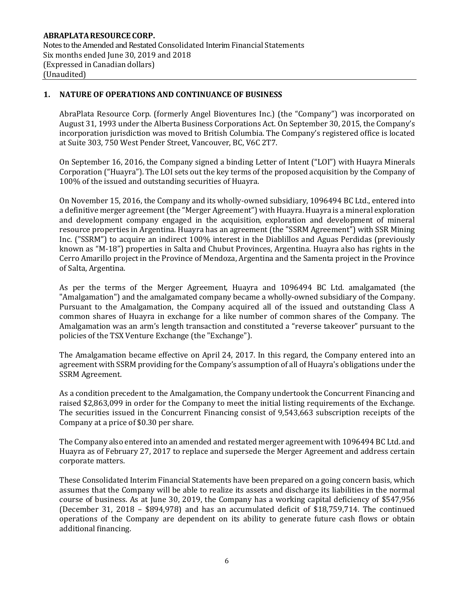## **1. NATURE OF OPERATIONS AND CONTINUANCE OF BUSINESS**

AbraPlata Resource Corp. (formerly Angel Bioventures Inc.) (the "Company") was incorporated on August 31, 1993 under the Alberta Business Corporations Act. On September 30, 2015, the Company's incorporation jurisdiction was moved to British Columbia. The Company's registered office is located at Suite 303, 750 West Pender Street, Vancouver, BC, V6C 2T7.

On September 16, 2016, the Company signed a binding Letter of Intent ("LOI") with Huayra Minerals Corporation ("Huayra"). The LOI sets out the key terms of the proposed acquisition by the Company of 100% of the issued and outstanding securities of Huayra.

On November 15, 2016, the Company and its wholly-owned subsidiary, 1096494 BC Ltd., entered into a definitive merger agreement (the "Merger Agreement") with Huayra. Huayra is a mineral exploration and development company engaged in the acquisition, exploration and development of mineral resource properties in Argentina. Huayra has an agreement (the "SSRM Agreement") with SSR Mining Inc. ("SSRM") to acquire an indirect 100% interest in the Diablillos and Aguas Perdidas (previously known as "M-18") properties in Salta and Chubut Provinces, Argentina. Huayra also has rights in the Cerro Amarillo project in the Province of Mendoza, Argentina and the Samenta project in the Province of Salta, Argentina.

As per the terms of the Merger Agreement, Huayra and 1096494 BC Ltd. amalgamated (the "Amalgamation") and the amalgamated company became a wholly-owned subsidiary of the Company. Pursuant to the Amalgamation, the Company acquired all of the issued and outstanding Class A common shares of Huayra in exchange for a like number of common shares of the Company. The Amalgamation was an arm's length transaction and constituted a "reverse takeover" pursuant to the policies of the TSX Venture Exchange (the "Exchange").

The Amalgamation became effective on April 24, 2017. In this regard, the Company entered into an agreement with SSRM providing for the Company's assumption of all of Huayra's obligations under the SSRM Agreement.

As a condition precedent to the Amalgamation, the Company undertook the Concurrent Financing and raised \$2,863,099 in order for the Company to meet the initial listing requirements of the Exchange. The securities issued in the Concurrent Financing consist of 9,543,663 subscription receipts of the Company at a price of \$0.30 per share.

The Company also entered into an amended and restated merger agreement with 1096494 BC Ltd. and Huayra as of February 27, 2017 to replace and supersede the Merger Agreement and address certain corporate matters.

These Consolidated Interim Financial Statements have been prepared on a going concern basis, which assumes that the Company will be able to realize its assets and discharge its liabilities in the normal course of business. As at June 30, 2019, the Company has a working capital deficiency of \$547,956 (December 31, 2018 – \$894,978) and has an accumulated deficit of \$18,759,714. The continued operations of the Company are dependent on its ability to generate future cash flows or obtain additional financing.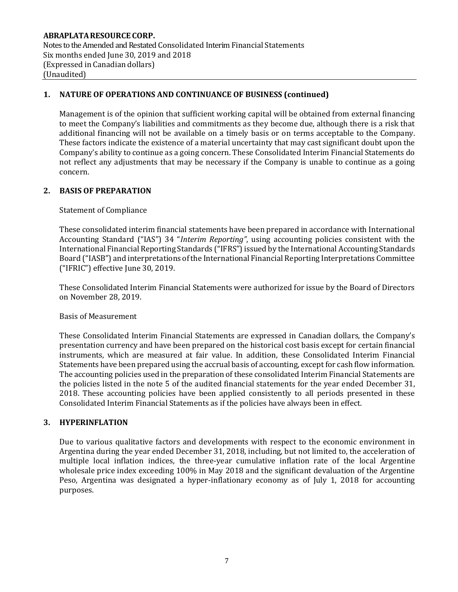## **1. NATURE OF OPERATIONS AND CONTINUANCE OF BUSINESS (continued)**

Management is of the opinion that sufficient working capital will be obtained from external financing to meet the Company's liabilities and commitments as they become due, although there is a risk that additional financing will not be available on a timely basis or on terms acceptable to the Company. These factors indicate the existence of a material uncertainty that may cast significant doubt upon the Company's ability to continue as a going concern. These Consolidated Interim Financial Statements do not reflect any adjustments that may be necessary if the Company is unable to continue as a going concern.

## **2. BASIS OF PREPARATION**

## Statement of Compliance

These consolidated interim financial statements have been prepared in accordance with International Accounting Standard ("IAS") 34 "*Interim Reporting"*, using accounting policies consistent with the International Financial Reporting Standards ("IFRS") issued by the International Accounting Standards Board ("IASB") and interpretations of the International Financial Reporting Interpretations Committee ("IFRIC") effective June 30, 2019.

These Consolidated Interim Financial Statements were authorized for issue by the Board of Directors on November 28, 2019.

#### Basis of Measurement

These Consolidated Interim Financial Statements are expressed in Canadian dollars, the Company's presentation currency and have been prepared on the historical cost basis except for certain financial instruments, which are measured at fair value. In addition, these Consolidated Interim Financial Statements have been prepared using the accrual basis of accounting, except for cash flow information. The accounting policies used in the preparation of these consolidated Interim Financial Statements are the policies listed in the note 5 of the audited financial statements for the year ended December 31, 2018. These accounting policies have been applied consistently to all periods presented in these Consolidated Interim Financial Statements as if the policies have always been in effect.

#### **3. HYPERINFLATION**

Due to various qualitative factors and developments with respect to the economic environment in Argentina during the year ended December 31, 2018, including, but not limited to, the acceleration of multiple local inflation indices, the three-year cumulative inflation rate of the local Argentine wholesale price index exceeding 100% in May 2018 and the significant devaluation of the Argentine Peso, Argentina was designated a hyper-inflationary economy as of July 1, 2018 for accounting purposes.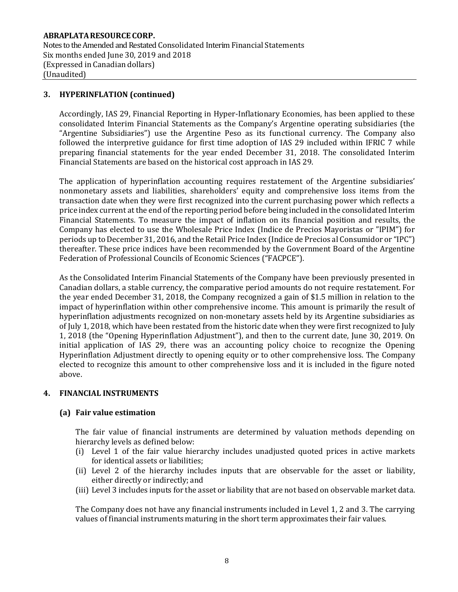## **3. HYPERINFLATION (continued)**

Accordingly, IAS 29, Financial Reporting in Hyper-Inflationary Economies, has been applied to these consolidated Interim Financial Statements as the Company's Argentine operating subsidiaries (the "Argentine Subsidiaries") use the Argentine Peso as its functional currency. The Company also followed the interpretive guidance for first time adoption of IAS 29 included within IFRIC 7 while preparing financial statements for the year ended December 31, 2018. The consolidated Interim Financial Statements are based on the historical cost approach in IAS 29.

The application of hyperinflation accounting requires restatement of the Argentine subsidiaries' nonmonetary assets and liabilities, shareholders' equity and comprehensive loss items from the transaction date when they were first recognized into the current purchasing power which reflects a price index current at the end of the reporting period before being included in the consolidated Interim Financial Statements. To measure the impact of inflation on its financial position and results, the Company has elected to use the Wholesale Price Index (Indice de Precios Mayoristas or "IPIM") for periods up to December 31, 2016, and the Retail Price Index (Indice de Precios al Consumidor or "IPC") thereafter. These price indices have been recommended by the Government Board of the Argentine Federation of Professional Councils of Economic Sciences ("FACPCE").

As the Consolidated Interim Financial Statements of the Company have been previously presented in Canadian dollars, a stable currency, the comparative period amounts do not require restatement. For the year ended December 31, 2018, the Company recognized a gain of \$1.5 million in relation to the impact of hyperinflation within other comprehensive income. This amount is primarily the result of hyperinflation adjustments recognized on non-monetary assets held by its Argentine subsidiaries as of July 1, 2018, which have been restated from the historic date when they were first recognized to July 1, 2018 (the "Opening Hyperinflation Adjustment"), and then to the current date, June 30, 2019. On initial application of IAS 29, there was an accounting policy choice to recognize the Opening Hyperinflation Adjustment directly to opening equity or to other comprehensive loss. The Company elected to recognize this amount to other comprehensive loss and it is included in the figure noted above.

## **4. FINANCIAL INSTRUMENTS**

#### **(a) Fair value estimation**

The fair value of financial instruments are determined by valuation methods depending on hierarchy levels as defined below:

- (i) Level 1 of the fair value hierarchy includes unadjusted quoted prices in active markets for identical assets or liabilities;
- (ii) Level 2 of the hierarchy includes inputs that are observable for the asset or liability, either directly or indirectly; and
- (iii) Level 3 includes inputs for the asset or liability that are not based on observable market data.

The Company does not have any financial instruments included in Level 1, 2 and 3. The carrying values of financial instruments maturing in the short term approximates their fair values.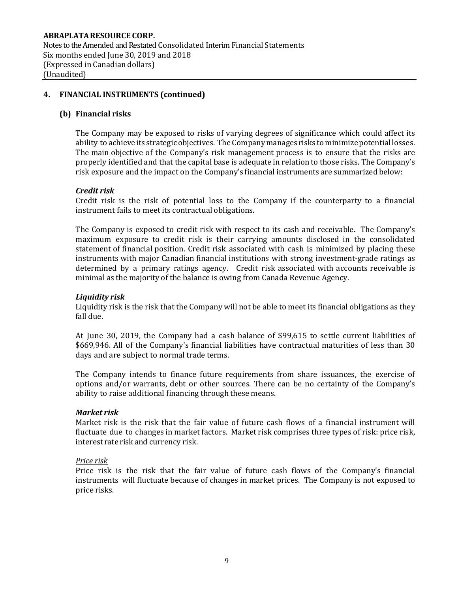## **ABRAPLATARESOURCE CORP.** Notes to the Amended and Restated Consolidated Interim Financial Statements Six months ended June 30, 2019 and 2018 (Expressed in Canadian dollars) (Unaudited)

## **4. FINANCIAL INSTRUMENTS (continued)**

## **(b) Financial risks**

The Company may be exposed to risks of varying degrees of significance which could affect its ability to achieve its strategic objectives. The Company manages risks to minimize potential losses. The main objective of the Company's risk management process is to ensure that the risks are properly identified and that the capital base is adequate in relation to those risks. The Company's risk exposure and the impact on the Company's financial instruments are summarized below:

#### *Credit risk*

Credit risk is the risk of potential loss to the Company if the counterparty to a financial instrument fails to meet its contractual obligations.

The Company is exposed to credit risk with respect to its cash and receivable. The Company's maximum exposure to credit risk is their carrying amounts disclosed in the consolidated statement of financial position. Credit risk associated with cash is minimized by placing these instruments with major Canadian financial institutions with strong investment-grade ratings as determined by a primary ratings agency. Credit risk associated with accounts receivable is minimal as the majority of the balance is owing from Canada Revenue Agency.

#### *Liquidity risk*

Liquidity risk is the risk that the Company will not be able to meet its financial obligations as they fall due.

At June 30, 2019, the Company had a cash balance of \$99,615 to settle current liabilities of \$669,946. All of the Company's financial liabilities have contractual maturities of less than 30 days and are subject to normal trade terms.

The Company intends to finance future requirements from share issuances, the exercise of options and/or warrants, debt or other sources. There can be no certainty of the Company's ability to raise additional financing through these means.

#### *Market risk*

Market risk is the risk that the fair value of future cash flows of a financial instrument will fluctuate due to changes in market factors. Market risk comprises three types of risk: price risk, interest rate risk and currency risk.

#### *Price risk*

Price risk is the risk that the fair value of future cash flows of the Company's financial instruments will fluctuate because of changes in market prices. The Company is not exposed to price risks.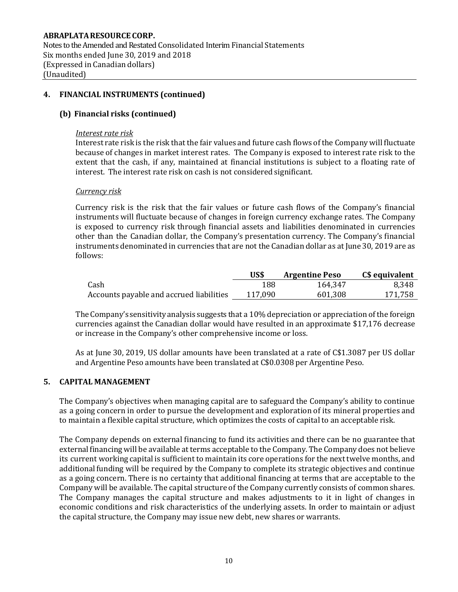Notes to the Amended and Restated Consolidated Interim Financial Statements Six months ended June 30, 2019 and 2018 (Expressed in Canadian dollars) (Unaudited)

#### **4. FINANCIAL INSTRUMENTS (continued)**

## **(b) Financial risks (continued)**

#### *Interest rate risk*

Interest rate risk is the risk that the fair values and future cash flows of the Company will fluctuate because of changes in market interest rates. The Company is exposed to interest rate risk to the extent that the cash, if any, maintained at financial institutions is subject to a floating rate of interest. The interest rate risk on cash is not considered significant.

#### *Currency risk*

Currency risk is the risk that the fair values or future cash flows of the Company's financial instruments will fluctuate because of changes in foreign currency exchange rates. The Company is exposed to currency risk through financial assets and liabilities denominated in currencies other than the Canadian dollar, the Company's presentation currency. The Company's financial instruments denominated in currencies that are not the Canadian dollar as at June 30, 2019 are as follows:

|                                          | US\$    | <b>Argentine Peso</b> | C\$ equivalent |
|------------------------------------------|---------|-----------------------|----------------|
| Cash                                     | 188     | 164.347               | 8.348          |
| Accounts payable and accrued liabilities | 117,090 | 601,308               | 171,758        |

TheCompany's sensitivityanalysis suggests that a 10% depreciation or appreciation of the foreign currencies against the Canadian dollar would have resulted in an approximate \$17,176 decrease or increase in the Company's other comprehensive income or loss.

As at June 30, 2019, US dollar amounts have been translated at a rate of C\$1.3087 per US dollar and Argentine Peso amounts have been translated at C\$0.0308 per Argentine Peso.

## **5. CAPITAL MANAGEMENT**

The Company's objectives when managing capital are to safeguard the Company's ability to continue as a going concern in order to pursue the development and exploration of its mineral properties and to maintain a flexible capital structure, which optimizes the costs of capital to an acceptable risk.

The Company depends on external financing to fund its activities and there can be no guarantee that external financing will be available at terms acceptable to the Company. The Company does not believe its current working capital is sufficient to maintain its core operations for the next twelve months, and additional funding will be required by the Company to complete its strategic objectives and continue as a going concern. There is no certainty that additional financing at terms that are acceptable to the Company will be available. The capital structure of the Company currently consists of common shares. The Company manages the capital structure and makes adjustments to it in light of changes in economic conditions and risk characteristics of the underlying assets. In order to maintain or adjust the capital structure, the Company may issue new debt, new shares or warrants.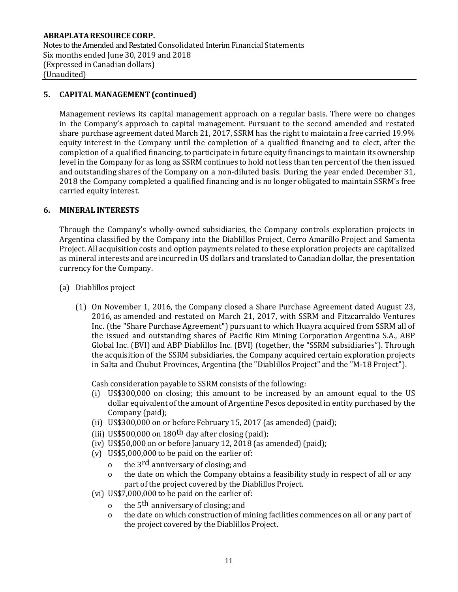## **5. CAPITAL MANAGEMENT(continued)**

Management reviews its capital management approach on a regular basis. There were no changes in the Company's approach to capital management. Pursuant to the second amended and restated share purchase agreement dated March 21, 2017, SSRM has the right to maintain a free carried 19.9% equity interest in the Company until the completion of a qualified financing and to elect, after the completion of a qualified financing, to participate in future equity financings to maintain its ownership level in the Company for as long as SSRM continues to hold not less than ten percent of the then issued and outstanding shares of the Company on a non-diluted basis. During the year ended December 31, 2018 the Company completed a qualified financing and is no longer obligated to maintain SSRM's free carried equity interest.

## **6. MINERAL INTERESTS**

Through the Company's wholly-owned subsidiaries, the Company controls exploration projects in Argentina classified by the Company into the Diablillos Project, Cerro Amarillo Project and Samenta Project. All acquisition costs and option payments related to these exploration projects are capitalized as mineral interests and are incurred in US dollars and translated to Canadian dollar, the presentation currency for the Company.

- (a) Diablillos project
	- (1) On November 1, 2016, the Company closed a Share Purchase Agreement dated August 23, 2016, as amended and restated on March 21, 2017, with SSRM and Fitzcarraldo Ventures Inc. (the "Share Purchase Agreement") pursuant to which Huayra acquired from SSRM all of the issued and outstanding shares of Pacific Rim Mining Corporation Argentina S.A., ABP Global Inc. (BVI) and ABP Diablillos Inc. (BVI) (together, the "SSRM subsidiaries"). Through the acquisition of the SSRM subsidiaries, the Company acquired certain exploration projects in Salta and Chubut Provinces, Argentina (the "Diablillos Project" and the "M-18 Project").

Cash consideration payable to SSRM consists of the following:

- (i) US\$300,000 on closing; this amount to be increased by an amount equal to the US dollar equivalent of the amount of Argentine Pesos deposited in entity purchased by the Company (paid);
- (ii) US\$300,000 on or before February 15, 2017 (as amended)(paid);
- (iii) US\$500,000 on 180<sup>th</sup> day after closing (paid);
- (iv) US\$50,000 on or before January 12, 2018 (as amended) (paid);
- (v) US\$5,000,000 to be paid on the earlier of:
	- o the 3<sup>rd</sup> anniversary of closing; and
	- o the date on which the Company obtains a feasibility study in respect of all or any part of the project covered by the Diablillos Project.
- (vi) US\$7,000,000 to be paid on the earlier of:
	- o the 5<sup>th</sup> anniversary of closing; and
	- o the date on which construction of mining facilities commences on all or any part of the project covered by the Diablillos Project.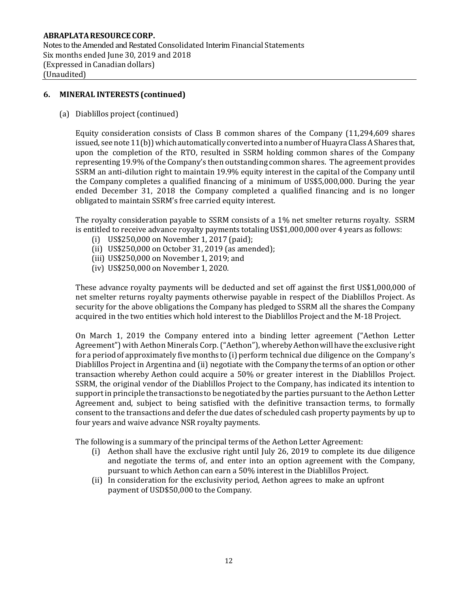Notes to the Amended and Restated Consolidated Interim Financial Statements Six months ended June 30, 2019 and 2018 (Expressed in Canadian dollars) (Unaudited)

## **6. MINERAL INTERESTS (continued)**

(a) Diablillos project(continued)

Equity consideration consists of Class B common shares of the Company (11,294,609 shares issued, see note  $11(b)$ ) which automatically converted into a number of Huayra Class A Shares that, upon the completion of the RTO, resulted in SSRM holding common shares of the Company representing 19.9% of the Company's then outstanding common shares. The agreement provides SSRM an anti-dilution right to maintain 19.9% equity interest in the capital of the Company until the Company completes a qualified financing of a minimum of US\$5,000,000. During the year ended December 31, 2018 the Company completed a qualified financing and is no longer obligated to maintain SSRM's free carried equity interest.

The royalty consideration payable to SSRM consists of a 1% net smelter returns royalty. SSRM is entitled to receive advance royalty payments totaling US\$1,000,000 over 4 years as follows:

- (i) US\$250,000 on November 1, 2017 (paid);
- (ii) US\$250,000 on October 31, 2019 (as amended);
- (iii) US\$250,000 on November 1, 2019; and
- (iv) US\$250,000 on November 1, 2020.

These advance royalty payments will be deducted and set off against the first US\$1,000,000 of net smelter returns royalty payments otherwise payable in respect of the Diablillos Project. As security for the above obligations the Company has pledged to SSRM all the shares the Company acquired in the two entities which hold interest to the Diablillos Project and the M-18 Project.

On March 1, 2019 the Company entered into a binding letter agreement ("Aethon Letter Agreement") with Aethon Minerals Corp. ("Aethon"), whereby Aethon will have the exclusive right for a period of approximately five months to (i) perform technical due diligence on the Company's Diablillos Project in Argentina and (ii) negotiate with the Companythe terms of an optionor other transaction whereby Aethon could acquire a 50% or greater interest in the Diablillos Project. SSRM, the original vendor of the Diablillos Project to the Company, has indicated its intention to supportin principle the transactions to be negotiated by the parties pursuant to the Aethon Letter Agreement and, subject to being satisfied with the definitive transaction terms, to formally consent to the transactions and defer the due dates of scheduled cash property payments by up to four years and waive advance NSR royalty payments.

The following is a summary of the principal terms of the Aethon Letter Agreement:

- (i) Aethon shall have the exclusive right until July 26, 2019 to complete its due diligence and negotiate the terms of, and enter into an option agreement with the Company, pursuant to which Aethon can earn a 50% interest in the Diablillos Project.
- (ii) In consideration for the exclusivity period, Aethon agrees to make an upfront payment of USD\$50,000 to the Company.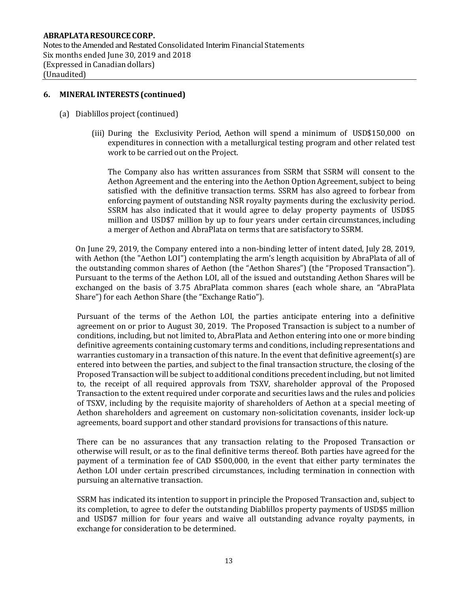Notes to the Amended and Restated Consolidated Interim Financial Statements Six months ended June 30, 2019 and 2018 (Expressed in Canadian dollars) (Unaudited)

#### **6. MINERAL INTERESTS (continued)**

- (a) Diablillos project(continued)
	- (iii) During the Exclusivity Period, Aethon will spend a minimum of USD\$150,000 on expenditures in connection with a metallurgical testing program and other related test work to be carried out on the Project.

The Company also has written assurances from SSRM that SSRM will consent to the Aethon Agreement and the entering into the Aethon Option Agreement, subject to being satisfied with the definitive transaction terms. SSRM has also agreed to forbear from enforcing payment of outstanding NSR royalty payments during the exclusivity period. SSRM has also indicated that it would agree to delay property payments of USD\$5 million and USD\$7 million by up to four years under certain circumstances, including a merger of Aethon and AbraPlata on terms that are satisfactory to SSRM.

On June 29, 2019, the Company entered into a non-binding letter of intent dated, July 28, 2019, with Aethon (the "Aethon LOI") contemplating the arm's length acquisition by AbraPlata of all of the outstanding common shares of Aethon (the "Aethon Shares") (the "Proposed Transaction"). Pursuant to the terms of the Aethon LOI, all of the issued and outstanding Aethon Shares will be exchanged on the basis of 3.75 AbraPlata common shares (each whole share, an "AbraPlata Share") for each Aethon Share (the "Exchange Ratio").

Pursuant of the terms of the Aethon LOI, the parties anticipate entering into a definitive agreement on or prior to August 30, 2019. The Proposed Transaction is subject to a number of conditions, including, but not limited to, AbraPlata and Aethon entering into one or more binding definitive agreements containing customary terms and conditions, including representations and warranties customary in a transaction of this nature. In the event that definitive agreement(s) are entered into between the parties, and subject to the final transaction structure, the closing of the Proposed Transaction will be subject to additional conditions precedent including, but not limited to, the receipt of all required approvals from TSXV, shareholder approval of the Proposed Transaction to the extent required under corporate and securities laws and the rules and policies of TSXV, including by the requisite majority of shareholders of Aethon at a special meeting of Aethon shareholders and agreement on customary non-solicitation covenants, insider lock-up agreements, board support and other standard provisions for transactions of this nature.

There can be no assurances that any transaction relating to the Proposed Transaction or otherwise will result, or as to the final definitive terms thereof. Both parties have agreed for the payment of a termination fee of CAD \$500,000, in the event that either party terminates the Aethon LOI under certain prescribed circumstances, including termination in connection with pursuing an alternative transaction.

SSRM has indicated its intention to support in principle the Proposed Transaction and, subject to its completion, to agree to defer the outstanding Diablillos property payments of USD\$5 million and USD\$7 million for four years and waive all outstanding advance royalty payments, in exchange for consideration to be determined.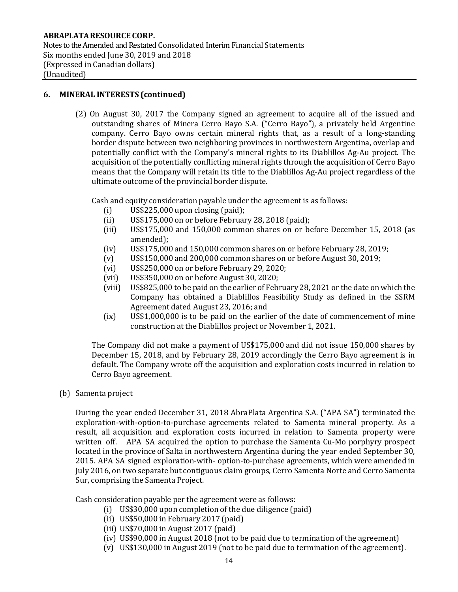## **6. MINERAL INTERESTS (continued)**

(2) On August 30, 2017 the Company signed an agreement to acquire all of the issued and outstanding shares of Minera Cerro Bayo S.A. ("Cerro Bayo"), a privately held Argentine company. Cerro Bayo owns certain mineral rights that, as a result of a long-standing border dispute between two neighboring provinces in northwestern Argentina, overlap and potentially conflict with the Company's mineral rights to its Diablillos Ag-Au project. The acquisition of the potentially conflicting mineral rights through the acquisition of Cerro Bayo means that the Company will retain its title to the Diablillos Ag-Au project regardless of the ultimate outcome of the provincial border dispute.

Cash and equity consideration payable under the agreement is as follows:

- (i) US\$225,000 upon closing (paid);
- (ii) US\$175,000 on or before February 28, 2018 (paid);
- (iii) US\$175,000 and 150,000 common shares on or before December 15, 2018 (as amended);
- (iv) US\$175,000 and 150,000 common shares on or before February 28, 2019;
- (v) US\$150,000 and 200,000 common shares on or before August 30, 2019;
- (vi) US\$250,000 on or before February 29, 2020;
- (vii) US\$350,000 on or before August 30, 2020;
- (viii) US\$825,000 to be paid on the earlier of February28, 2021 or the date on which the Company has obtained a Diablillos Feasibility Study as defined in the SSRM Agreement dated August 23, 2016; and
- (ix) US\$1,000,000 is to be paid on the earlier of the date of commencement of mine construction at the Diablillos project or November 1, 2021.

The Company did not make a payment of US\$175,000 and did not issue 150,000 shares by December 15, 2018, and by February 28, 2019 accordingly the Cerro Bayo agreement is in default. The Company wrote off the acquisition and exploration costs incurred in relation to Cerro Bayo agreement.

(b) Samenta project

During the year ended December 31, 2018 AbraPlata Argentina S.A. ("APA SA") terminated the exploration-with-option-to-purchase agreements related to Samenta mineral property. As a result, all acquisition and exploration costs incurred in relation to Samenta property were written off. APA SA acquired the option to purchase the Samenta Cu-Mo porphyry prospect located in the province of Salta in northwestern Argentina during the year ended September 30, 2015. APA SA signed exploration-with- option-to-purchase agreements, which were amended in July 2016, on two separate but contiguous claim groups, Cerro Samenta Norte and Cerro Samenta Sur, comprising the Samenta Project.

Cash consideration payable per the agreement were as follows:

- (i) US\$30,000 upon completion of the due diligence (paid)
- (ii) US\$50,000 in February 2017 (paid)
- (iii) US\$70,000 in August 2017 (paid)
- (iv) US\$90,000 in August 2018 (not to be paid due to termination of the agreement)
- (v) US\$130,000 in August 2019 (not to be paid due to termination of the agreement).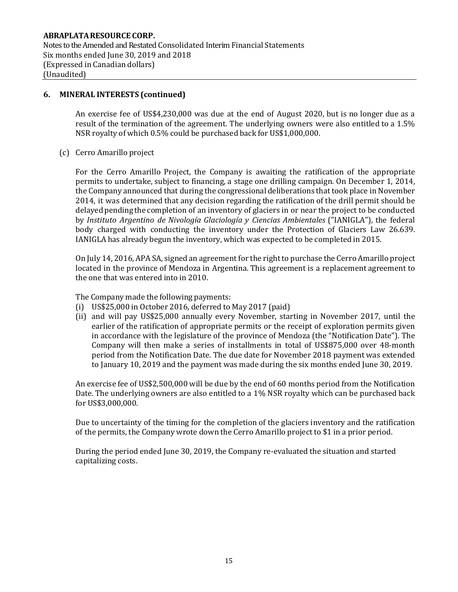#### **6. MINERAL INTERESTS (continued)**

An exercise fee of US\$4,230,000 was due at the end of August 2020, but is no longer due as a result of the termination of the agreement. The underlying owners were also entitled to a 1.5% NSR royalty of which 0.5% could be purchased back for US\$1,000,000.

(c) Cerro Amarillo project

For the Cerro Amarillo Project, the Company is awaiting the ratification of the appropriate permits to undertake, subject to financing, a stage one drilling campaign. On December 1, 2014, the Company announced that during the congressional deliberations that took place in November 2014, it was determined that any decision regarding the ratification of the drill permit should be delayed pending the completion of an inventory of glaciers in or near the project to be conducted by *Instituto Argentino de Nivología Glaciología y Ciencias Ambientales* ("IANIGLA"), the federal body charged with conducting the inventory under the Protection of Glaciers Law 26.639. IANIGLA has already begun the inventory, which was expected to be completed in 2015.

On July 14, 2016, APA SA, signed an agreement for the right to purchase the Cerro Amarillo project located in the province of Mendoza in Argentina. This agreement is a replacement agreement to the one that was entered into in 2010.

The Company made the following payments:

- (i) US\$25,000 in October 2016, deferred to May 2017 (paid)
- (ii) and will pay US\$25,000 annually every November, starting in November 2017, until the earlier of the ratification of appropriate permits or the receipt of exploration permits given in accordance with the legislature of the province of Mendoza (the "Notification Date"). The Company will then make a series of installments in total of US\$875,000 over 48-month period from the Notification Date. The due date for November 2018 payment was extended to January 10, 2019 and the payment was made during the six months ended June 30, 2019.

An exercise fee of US\$2,500,000 will be due by the end of 60 months period from the Notification Date. The underlying owners are also entitled to a 1% NSR royalty which can be purchased back for US\$3,000,000.

Due to uncertainty of the timing for the completion of the glaciers inventory and the ratification of the permits, the Company wrote down the Cerro Amarillo project to \$1 in a prior period.

During the period ended June 30, 2019, the Company re-evaluated the situation and started capitalizing costs.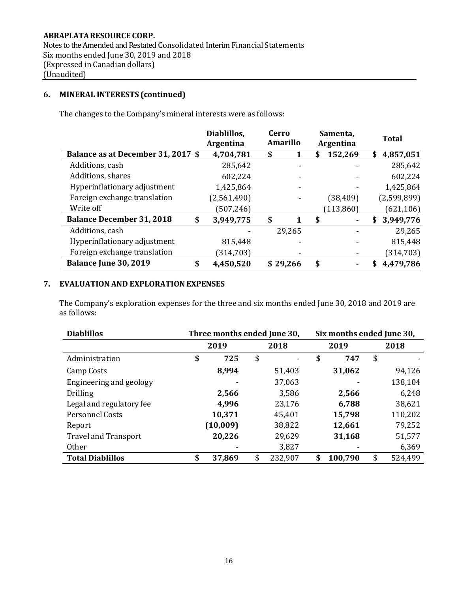## **ABRAPLATARESOURCE CORP.** Notes to the Amended and Restated Consolidated Interim Financial Statements Six months ended June 30, 2019 and 2018 (Expressed in Canadian dollars) (Unaudited)

## **6. MINERAL INTERESTS (continued)**

The changes to the Company's mineral interests were as follows:

|                                        | Diablillos,<br><b>Argentina</b> | Cerro<br><b>Amarillo</b> | Samenta,<br>Argentina | <b>Total</b>    |
|----------------------------------------|---------------------------------|--------------------------|-----------------------|-----------------|
| Balance as at December 31, 2017 \$     | 4,704,781                       | \$                       | 152,269<br>S          | 4,857,051<br>S  |
| Additions, cash                        | 285,642                         |                          |                       | 285,642         |
| Additions, shares                      | 602,224                         |                          |                       | 602,224         |
| Hyperinflationary adjustment           | 1,425,864                       |                          |                       | 1,425,864       |
| Foreign exchange translation           | (2,561,490)                     |                          | (38,409)              | (2,599,899)     |
| Write off                              | (507, 246)                      |                          | (113, 860)            | (621, 106)      |
| <b>Balance December 31, 2018</b><br>\$ | 3,949,775                       | \$<br>1                  | \$                    | 3,949,776<br>S  |
| Additions, cash                        |                                 | 29,265                   |                       | 29,265          |
| Hyperinflationary adjustment           | 815,448                         |                          |                       | 815,448         |
| Foreign exchange translation           | (314, 703)                      |                          |                       | (314, 703)      |
| Balance June 30, 2019<br>\$            | 4,450,520                       | \$29,266                 | \$                    | 4,479,786<br>\$ |

## **7. EVALUATIONAND EXPLORATION EXPENSES**

The Company's exploration expenses for the three and six months ended June 30, 2018 and 2019 are as follows:

| <b>Diablillos</b>           | Three months ended June 30, |          |    | Six months ended June 30, |               |               |
|-----------------------------|-----------------------------|----------|----|---------------------------|---------------|---------------|
|                             |                             | 2019     |    | 2018                      | 2019          | 2018          |
| Administration              | \$                          | 725      | \$ | $\overline{\phantom{a}}$  | \$<br>747     | \$            |
| Camp Costs                  |                             | 8,994    |    | 51,403                    | 31,062        | 94,126        |
| Engineering and geology     |                             |          |    | 37,063                    |               | 138,104       |
| <b>Drilling</b>             |                             | 2,566    |    | 3,586                     | 2,566         | 6,248         |
| Legal and regulatory fee    |                             | 4,996    |    | 23,176                    | 6,788         | 38,621        |
| Personnel Costs             |                             | 10,371   |    | 45,401                    | 15,798        | 110,202       |
| Report                      |                             | (10,009) |    | 38,822                    | 12,661        | 79,252        |
| <b>Travel and Transport</b> |                             | 20,226   |    | 29,629                    | 31,168        | 51,577        |
| <b>Other</b>                |                             |          |    | 3,827                     |               | 6,369         |
| <b>Total Diablillos</b>     | \$                          | 37,869   | \$ | 232,907                   | \$<br>100,790 | \$<br>524,499 |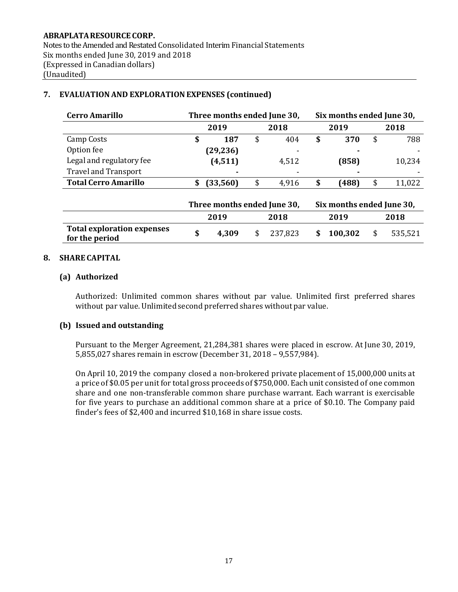# **Cerro Amarillo Three months ended June 30, Six months ended June 30, 2019 2018 2019 2018** Camp Costs **\$ 187** \$ 404 **\$ 370** \$ 788 Option fee **(29,236)** - **-** - Legal and regulatory fee **(4,511)** 4,512 **(858)** 10,234 **Travel and Transport Total Cerro Amarillo \$ (33,560)** \$ 4,916 **\$ (488)** \$ 11,022 **Three months ended June 30, Six months ended June 30, 2019 2018 2019 2018 Total exploration expenses for the period \$ 4,309** \$ 237,823 **\$ 100,302** \$ 535,521

## **7. EVALUATIONAND EXPLORATION EXPENSES (continued)**

#### **8. SHARE CAPITAL**

#### **(a) Authorized**

Authorized: Unlimited common shares without par value. Unlimited first preferred shares without par value. Unlimited second preferred shares without par value.

#### **(b) Issued and outstanding**

Pursuant to the Merger Agreement, 21,284,381 shares were placed in escrow. At June 30, 2019, 5,855,027 shares remain in escrow (December 31, 2018 – 9,557,984).

On April 10, 2019 the company closed a non-brokered private placement of 15,000,000 units at a price of \$0.05 per unit for total gross proceeds of \$750,000. Each unit consisted of one common share and one non-transferable common share purchase warrant. Each warrant is exercisable for five years to purchase an additional common share at a price of \$0.10. The Company paid finder's fees of \$2,400 and incurred \$10,168 in share issue costs.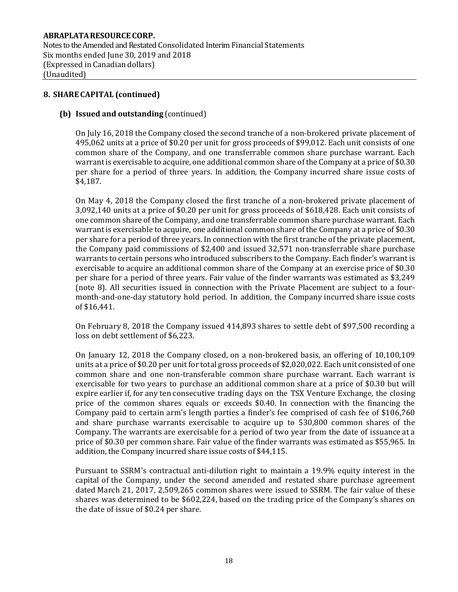Notes to the Amended and Restated Consolidated Interim Financial Statements Six months ended June 30, 2019 and 2018 (Expressed in Canadian dollars) (Unaudited)

#### **8. SHARE CAPITAL (continued)**

#### **(b) Issued and outstanding** (continued)

On July 16, 2018 the Company closed the second tranche of a non-brokered private placement of 495,062 units at a price of \$0.20 per unit for gross proceeds of \$99,012. Each unit consists of one common share of the Company, and one transferrable common share purchase warrant. Each warrant is exercisable to acquire, one additional common share of the Company at a price of \$0.30 per share for a period of three years. In addition, the Company incurred share issue costs of \$4,187.

On May 4, 2018 the Company closed the first tranche of a non-brokered private placement of 3,092,140 units at a price of \$0.20 per unit for gross proceeds of \$618,428. Each unit consists of one common share of the Company, and one transferrable common share purchase warrant. Each warrant is exercisable to acquire, one additional common share of the Company at a price of \$0.30 per share for a period of three years. In connection with the first tranche of the private placement, the Company paid commissions of \$2,400 and issued 32,571 non-transferrable share purchase warrants to certain persons who introduced subscribers to the Company. Each finder's warrant is exercisable to acquire an additional common share of the Company at an exercise price of \$0.30 per share for a period of three years. Fair value of the finder warrants was estimated as \$3,249 (note 8). All securities issued in connection with the Private Placement are subject to a fourmonth-and-one-day statutory hold period. In addition, the Company incurred share issue costs of \$16,441.

On February 8, 2018 the Company issued 414,893 shares to settle debt of \$97,500 recording a loss on debt settlement of \$6,223.

On January 12, 2018 the Company closed, on a non-brokered basis, an offering of 10,100,109 units at a price of \$0.20 per unit for total gross proceeds of \$2,020,022. Each unit consisted of one common share and one non-transferable common share purchase warrant. Each warrant is exercisable for two years to purchase an additional common share at a price of \$0.30 but will expire earlier if, for any ten consecutive trading days on the TSX Venture Exchange, the closing price of the common shares equals or exceeds \$0.40. In connection with the financing the Company paid to certain arm's length parties a finder's fee comprised of cash fee of \$106,760 and share purchase warrants exercisable to acquire up to 530,800 common shares of the Company. The warrants are exercisable for a period of two year from the date of issuance at a price of \$0.30 per common share. Fair value of the finder warrants was estimated as \$55,965. In addition, the Company incurred share issue costs of \$44,115.

Pursuant to SSRM's contractual anti-dilution right to maintain a 19.9% equity interest in the capital of the Company, under the second amended and restated share purchase agreement dated March 21, 2017, 2,509,265 common shares were issued to SSRM. The fair value of these shares was determined to be \$602,224, based on the trading price of the Company's shares on the date of issue of \$0.24 per share.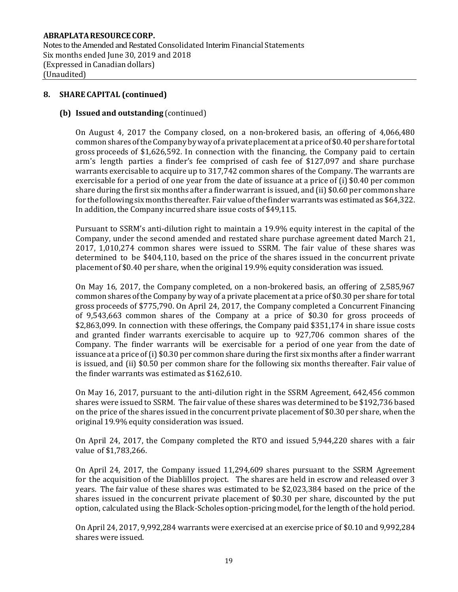Notes to the Amended and Restated Consolidated Interim Financial Statements Six months ended June 30, 2019 and 2018 (Expressed in Canadian dollars) (Unaudited)

#### **8. SHARE CAPITAL (continued)**

#### **(b) Issued and outstanding** (continued)

On August 4, 2017 the Company closed, on a non-brokered basis, an offering of 4,066,480 common shares of the Company by way of a private placement at a price of \$0.40 per share for total gross proceeds of \$1,626,592. In connection with the financing, the Company paid to certain arm's length parties a finder's fee comprised of cash fee of \$127,097 and share purchase warrants exercisable to acquire up to 317,742 common shares of the Company. The warrants are exercisable for a period of one year from the date of issuance at a price of (i) \$0.40 per common share during the first six months after a finderwarrant is issued, and (ii) \$0.60 per commonshare for the following six months thereafter. Fair value of the finder warrants was estimated as \$64,322. In addition, the Company incurred share issue costs of \$49,115.

Pursuant to SSRM's anti-dilution right to maintain a 19.9% equity interest in the capital of the Company, under the second amended and restated share purchase agreement dated March 21, 2017, 1,010,274 common shares were issued to SSRM. The fair value of these shares was determined to be \$404,110, based on the price of the shares issued in the concurrent private placement of \$0.40 per share, when the original 19.9% equity consideration was issued.

On May 16, 2017, the Company completed, on a non-brokered basis, an offering of 2,585,967 common shares ofthe Company by way of a private placement at a price of \$0.30 per share for total gross proceeds of \$775,790. On April 24, 2017, the Company completed a Concurrent Financing of 9,543,663 common shares of the Company at a price of \$0.30 for gross proceeds of \$2,863,099. In connection with these offerings, the Company paid \$351,174 in share issue costs and granted finder warrants exercisable to acquire up to 927,706 common shares of the Company. The finder warrants will be exercisable for a period of one year from the date of issuance at a price of (i) \$0.30 per common share during the first six months after a finder warrant is issued, and (ii) \$0.50 per common share for the following six months thereafter. Fair value of the finder warrants was estimated as \$162,610.

On May 16, 2017, pursuant to the anti-dilution right in the SSRM Agreement, 642,456 common shares were issued to SSRM. The fair value of these shares was determined to be \$192,736 based on the price of the shares issued in the concurrent private placement of \$0.30 per share, when the original 19.9% equity consideration was issued.

On April 24, 2017, the Company completed the RTO and issued 5,944,220 shares with a fair value of \$1,783,266.

On April 24, 2017, the Company issued 11,294,609 shares pursuant to the SSRM Agreement for the acquisition of the Diablillos project. The shares are held in escrow and released over 3 years. The fair value of these shares was estimated to be \$2,023,384 based on the price of the shares issued in the concurrent private placement of \$0.30 per share, discounted by the put option, calculated using the Black-Scholes option-pricing model, for the length of the hold period.

On April 24, 2017, 9,992,284 warrants were exercised at an exercise price of \$0.10 and 9,992,284 shares were issued.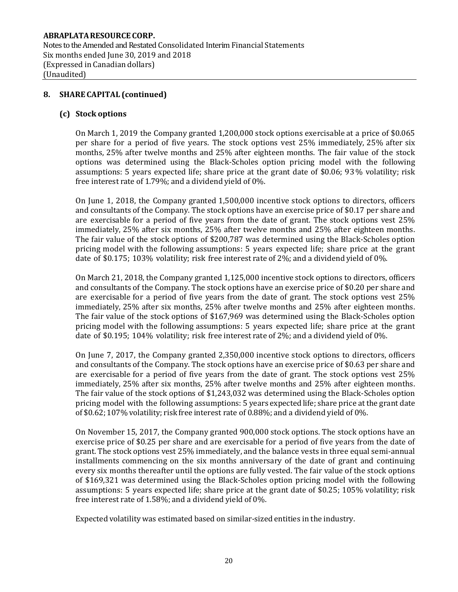## **8. SHARE CAPITAL (continued)**

#### **(c) Stock options**

On March 1, 2019 the Company granted 1,200,000 stock options exercisable at a price of \$0.065 per share for a period of five years. The stock options vest 25% immediately, 25% after six months, 25% after twelve months and 25% after eighteen months. The fair value of the stock options was determined using the Black-Scholes option pricing model with the following assumptions: 5 years expected life; share price at the grant date of \$0.06; 93% volatility; risk free interest rate of 1.79%; and a dividend yield of 0%.

On June 1, 2018, the Company granted 1,500,000 incentive stock options to directors, officers and consultants of the Company. The stock options have an exercise price of \$0.17 per share and are exercisable for a period of five years from the date of grant. The stock options vest 25% immediately, 25% after six months, 25% after twelve months and 25% after eighteen months. The fair value of the stock options of \$200,787 was determined using the Black-Scholes option pricing model with the following assumptions: 5 years expected life; share price at the grant date of \$0.175; 103% volatility; risk free interest rate of 2%; and a dividend yield of 0%.

On March 21, 2018, the Company granted 1,125,000 incentive stock options to directors, officers and consultants of the Company. The stock options have an exercise price of \$0.20 per share and are exercisable for a period of five years from the date of grant. The stock options vest 25% immediately, 25% after six months, 25% after twelve months and 25% after eighteen months. The fair value of the stock options of \$167,969 was determined using the Black-Scholes option pricing model with the following assumptions: 5 years expected life; share price at the grant date of \$0.195; 104% volatility; risk free interest rate of 2%; and a dividend yield of 0%.

On June 7, 2017, the Company granted 2,350,000 incentive stock options to directors, officers and consultants of the Company. The stock options have an exercise price of \$0.63 per share and are exercisable for a period of five years from the date of grant. The stock options vest 25% immediately, 25% after six months, 25% after twelve months and 25% after eighteen months. The fair value of the stock options of \$1,243,032 was determined using the Black-Scholes option pricing model with the following assumptions: 5 years expected life; share price at the grant date of \$0.62; 107% volatility; risk free interest rate of 0.88%; and a dividend yield of 0%.

On November 15, 2017, the Company granted 900,000 stock options. The stock options have an exercise price of \$0.25 per share and are exercisable for a period of five years from the date of grant. The stock options vest 25% immediately, and the balance vests in three equal semi-annual installments commencing on the six months anniversary of the date of grant and continuing every six months thereafter until the options are fully vested. The fair value of the stock options of \$169,321 was determined using the Black-Scholes option pricing model with the following assumptions: 5 years expected life; share price at the grant date of \$0.25; 105% volatility; risk free interest rate of 1.58%; and a dividend yield of 0%.

Expected volatility was estimated based on similar-sized entities in the industry.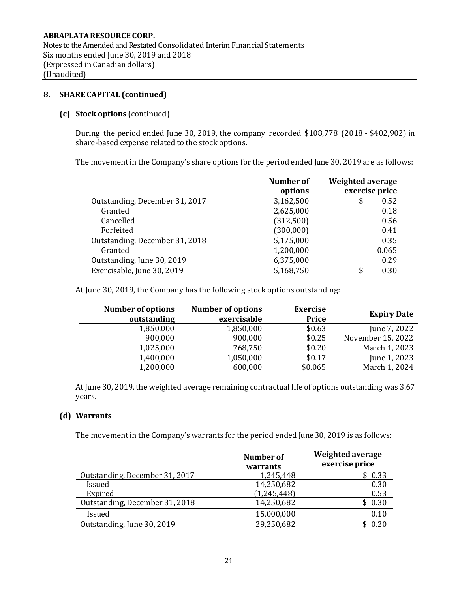Notes to the Amended and Restated Consolidated Interim Financial Statements Six months ended June 30, 2019 and 2018 (Expressed in Canadian dollars) (Unaudited)

## **8. SHARE CAPITAL (continued)**

## **(c) Stock options** (continued)

During the period ended June 30, 2019, the company recorded \$108,778 (2018 - \$402,902) in share-based expense related to the stock options.

The movement in the Company's share options for the period ended June 30, 2019 are as follows:

|                                | Number of<br>options | <b>Weighted average</b><br>exercise price |
|--------------------------------|----------------------|-------------------------------------------|
| Outstanding, December 31, 2017 | 3,162,500            | 0.52                                      |
| Granted                        | 2,625,000            | 0.18                                      |
| Cancelled                      | (312,500)            | 0.56                                      |
| Forfeited                      | (300, 000)           | 0.41                                      |
| Outstanding, December 31, 2018 | 5,175,000            | 0.35                                      |
| Granted                        | 1,200,000            | 0.065                                     |
| Outstanding, June 30, 2019     | 6,375,000            | 0.29                                      |
| Exercisable, June 30, 2019     | 5,168,750            | 0.30                                      |

At June 30, 2019, the Company has the following stock options outstanding:

| <b>Number of options</b><br>outstanding | <b>Number of options</b><br>exercisable | <b>Exercise</b><br>Price | <b>Expiry Date</b> |
|-----------------------------------------|-----------------------------------------|--------------------------|--------------------|
| 1,850,000                               | 1,850,000                               | \$0.63                   | June 7, 2022       |
| 900,000                                 | 900,000                                 | \$0.25                   | November 15, 2022  |
| 1,025,000                               | 768,750                                 | \$0.20                   | March 1, 2023      |
| 1,400,000                               | 1,050,000                               | \$0.17                   | June 1, 2023       |
| 1,200,000                               | 600,000                                 | \$0.065                  | March 1, 2024      |

At June 30, 2019, the weighted average remaining contractual life of options outstanding was 3.67 years.

#### **(d) Warrants**

The movement in the Company's warrants for the period ended June 30, 2019 is as follows:

|                                | Number of<br>warrants | Weighted average<br>exercise price |
|--------------------------------|-----------------------|------------------------------------|
| Outstanding, December 31, 2017 | 1,245,448             | \$0.33                             |
| Issued                         | 14,250,682            | 0.30                               |
| Expired                        | (1, 245, 448)         | 0.53                               |
| Outstanding, December 31, 2018 | 14,250,682            | \$0.30                             |
| Issued                         | 15,000,000            | 0.10                               |
| Outstanding, June 30, 2019     | 29,250,682            | \$0.20                             |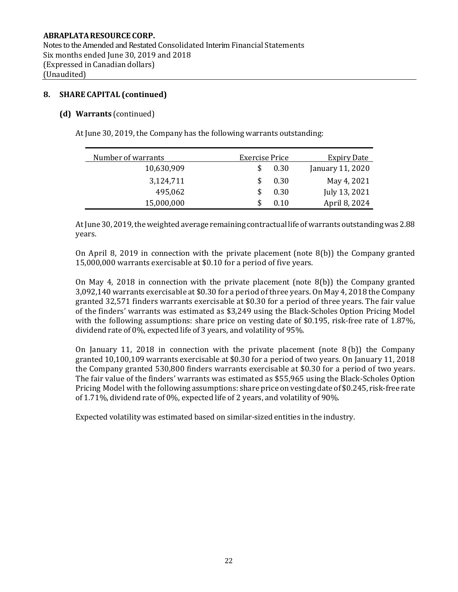## **8. SHARE CAPITAL (continued)**

#### **(d) Warrants** (continued)

At June 30, 2019, the Company has the following warrants outstanding:

| Number of warrants | Exercise Price |      | <b>Expiry Date</b> |
|--------------------|----------------|------|--------------------|
| 10,630,909         |                | 0.30 | January 11, 2020   |
| 3,124,711          |                | 0.30 | May 4, 2021        |
| 495,062            |                | 0.30 | July 13, 2021      |
| 15,000,000         |                | 0.10 | April 8, 2024      |

At June 30, 2019, the weighted average remaining contractual life of warrants outstanding was 2.88 years.

On April 8, 2019 in connection with the private placement (note 8(b)) the Company granted 15,000,000 warrants exercisable at \$0.10 for a period of five years.

On May 4, 2018 in connection with the private placement (note  $8(b)$ ) the Company granted 3,092,140 warrants exercisable at \$0.30 for a period of three years. On May 4, 2018 the Company granted 32,571 finders warrants exercisable at \$0.30 for a period of three years. The fair value of the finders' warrants was estimated as \$3,249 using the Black-Scholes Option Pricing Model with the following assumptions: share price on vesting date of \$0.195, risk-free rate of 1.87%, dividend rate of 0%, expected life of 3 years, and volatility of 95%.

On January 11, 2018 in connection with the private placement (note 8 (b)) the Company granted 10,100,109 warrants exercisable at \$0.30 for a period of two years. On January 11, 2018 the Company granted 530,800 finders warrants exercisable at \$0.30 for a period of two years. The fair value of the finders' warrants was estimated as \$55,965 using the Black-Scholes Option Pricing Model with the following assumptions: share price on vesting date of \$0.245, risk-free rate of 1.71%, dividend rate of 0%, expected life of 2 years, and volatility of 90%.

Expected volatility was estimated based on similar-sized entities in the industry.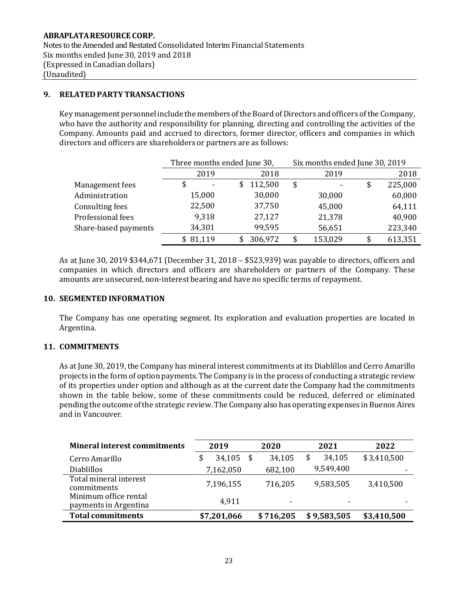## **9. RELATED PARTY TRANSACTIONS**

Key management personnel include the members of the Board of Directors and officers of the Company, who have the authority and responsibility for planning, directing and controlling the activities of the Company. Amounts paid and accrued to directors, former director, officers and companies in which directors and officers are shareholders or partners are as follows:

|                        |          | Three months ended June 30, | Six months ended June 30, 2019 |         |    |         |  |  |
|------------------------|----------|-----------------------------|--------------------------------|---------|----|---------|--|--|
|                        | 2019     | 2018                        |                                | 2019    |    | 2018    |  |  |
| Management fees        | \$<br>۰  | 112,500<br>S                | \$                             |         | \$ | 225,000 |  |  |
| Administration         | 15,000   | 30,000                      |                                | 30,000  |    | 60,000  |  |  |
| <b>Consulting fees</b> | 22,500   | 37,750                      |                                | 45,000  |    | 64,111  |  |  |
| Professional fees      | 9,318    | 27,127                      |                                | 21,378  |    | 40,900  |  |  |
| Share-based payments   | 34,301   | 99,595                      |                                | 56,651  |    | 223,340 |  |  |
|                        | \$81,119 | 306,972                     | S                              | 153,029 | \$ | 613,351 |  |  |

As at June 30, 2019 \$344,671 (December 31, 2018 – \$523,939) was payable to directors, officers and companies in which directors and officers are shareholders or partners of the Company. These amounts are unsecured, non-interest bearing and have no specific terms of repayment.

#### **10. SEGMENTED INFORMATION**

The Company has one operating segment. Its exploration and evaluation properties are located in Argentina.

#### **11. COMMITMENTS**

As at June 30, 2019, the Company has mineral interest commitments at its Diablillos and Cerro Amarillo projects in the form of option payments.The Company is in the process of conducting a strategic review of its properties under option and although as at the current date the Company had the commitments shown in the table below, some of these commitments could be reduced, deferred or eliminated pending the outcomeofthe strategic review.The Company also has operating expenses in Buenos Aires and in Vancouver.

| <b>Mineral interest commitments</b>            | 2019 |             | 2020 |           | 2021 |             | 2022        |
|------------------------------------------------|------|-------------|------|-----------|------|-------------|-------------|
| Cerro Amarillo                                 |      | 34,105      | \$   | 34,105    | \$   | 34,105      | \$3,410,500 |
| <b>Diablillos</b>                              |      | 7,162,050   |      | 682,100   |      | 9,549,400   |             |
| Total mineral interest<br>commitments          |      | 7,196,155   |      | 716,205   |      | 9,583,505   | 3,410,500   |
| Minimum office rental<br>payments in Argentina |      | 4,911       |      | ٠         |      |             |             |
| <b>Total commitments</b>                       |      | \$7,201,066 |      | \$716,205 |      | \$9,583,505 | \$3,410,500 |